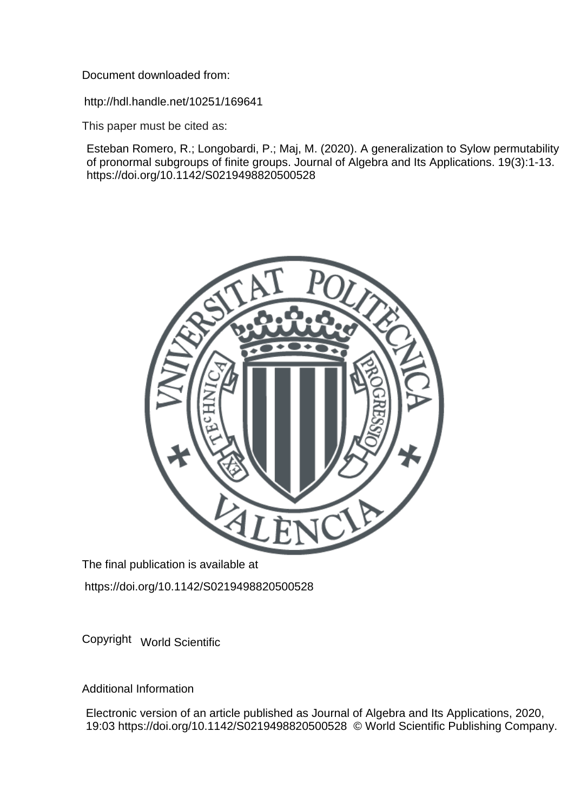Document downloaded from:

http://hdl.handle.net/10251/169641

This paper must be cited as:

Esteban Romero, R.; Longobardi, P.; Maj, M. (2020). A generalization to Sylow permutability of pronormal subgroups of finite groups. Journal of Algebra and Its Applications. 19(3):1-13. https://doi.org/10.1142/S0219498820500528



The final publication is available at

https://doi.org/10.1142/S0219498820500528

Copyright World Scientific

Additional Information

Electronic version of an article published as Journal of Algebra and Its Applications, 2020, 19:03 https://doi.org/10.1142/S0219498820500528 © World Scientific Publishing Company.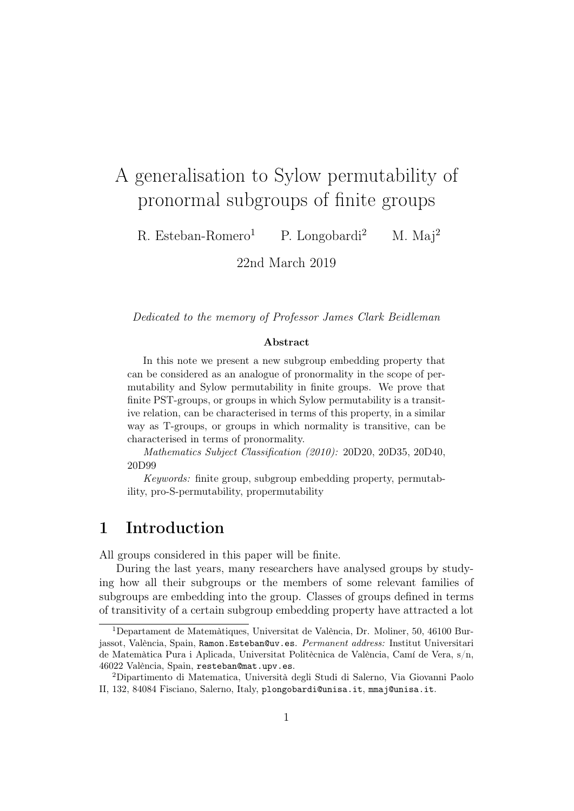# A generalisation to Sylow permutability of pronormal subgroups of finite groups

R. Esteban-Romero<sup>1</sup> P. Longobardi<sup>2</sup> M. Maj<sup>2</sup>

22nd March 2019

Dedicated to the memory of Professor James Clark Beidleman

#### Abstract

In this note we present a new subgroup embedding property that can be considered as an analogue of pronormality in the scope of permutability and Sylow permutability in finite groups. We prove that finite PST-groups, or groups in which Sylow permutability is a transitive relation, can be characterised in terms of this property, in a similar way as T-groups, or groups in which normality is transitive, can be characterised in terms of pronormality.

Mathematics Subject Classification (2010): 20D20, 20D35, 20D40, 20D99

Keywords: finite group, subgroup embedding property, permutability, pro-S-permutability, propermutability

### 1 Introduction

All groups considered in this paper will be finite.

During the last years, many researchers have analysed groups by studying how all their subgroups or the members of some relevant families of subgroups are embedding into the group. Classes of groups defined in terms of transitivity of a certain subgroup embedding property have attracted a lot

<sup>1</sup>Departament de Matemàtiques, Universitat de València, Dr. Moliner, 50, 46100 Burjassot, València, Spain, Ramon.Esteban@uv.es. Permanent address: Institut Universitari de Matemàtica Pura i Aplicada, Universitat Politècnica de València, Camí de Vera, s/n, 46022 València, Spain, resteban@mat.upv.es.

<sup>2</sup>Dipartimento di Matematica, Università degli Studi di Salerno, Via Giovanni Paolo II, 132, 84084 Fisciano, Salerno, Italy, plongobardi@unisa.it, mmaj@unisa.it.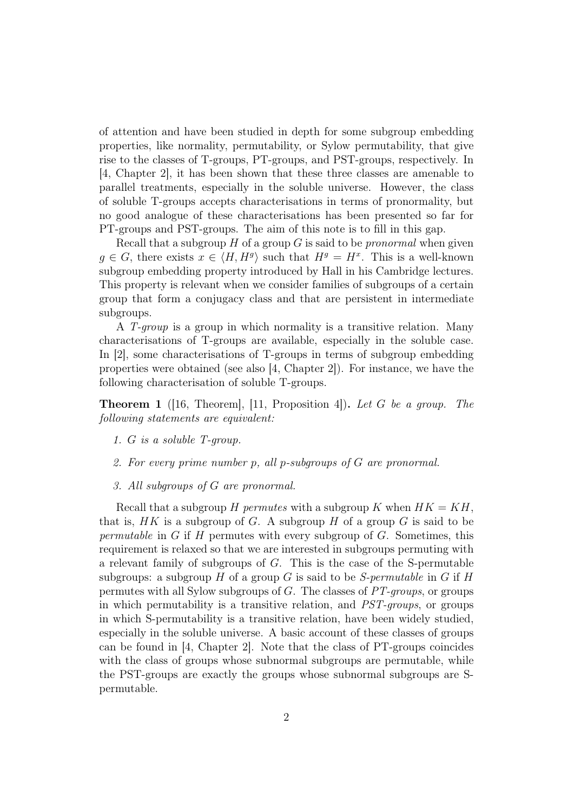of attention and have been studied in depth for some subgroup embedding properties, like normality, permutability, or Sylow permutability, that give rise to the classes of T-groups, PT-groups, and PST-groups, respectively. In [4, Chapter 2], it has been shown that these three classes are amenable to parallel treatments, especially in the soluble universe. However, the class of soluble T-groups accepts characterisations in terms of pronormality, but no good analogue of these characterisations has been presented so far for PT-groups and PST-groups. The aim of this note is to fill in this gap.

Recall that a subgroup  $H$  of a group  $G$  is said to be *pronormal* when given  $g \in G$ , there exists  $x \in \langle H, H^g \rangle$  such that  $H^g = H^x$ . This is a well-known subgroup embedding property introduced by Hall in his Cambridge lectures. This property is relevant when we consider families of subgroups of a certain group that form a conjugacy class and that are persistent in intermediate subgroups.

A T-group is a group in which normality is a transitive relation. Many characterisations of T-groups are available, especially in the soluble case. In [2], some characterisations of T-groups in terms of subgroup embedding properties were obtained (see also [4, Chapter 2]). For instance, we have the following characterisation of soluble T-groups.

**Theorem 1** ([16, Theorem], [11, Proposition 4]). Let G be a group. The following statements are equivalent:

- 1. G is a soluble T-group.
- 2. For every prime number p, all p-subgroups of G are pronormal.
- 3. All subgroups of G are pronormal.

Recall that a subgroup H permutes with a subgroup K when  $HK = KH$ , that is,  $HK$  is a subgroup of G. A subgroup H of a group G is said to be permutable in  $G$  if  $H$  permutes with every subgroup of  $G$ . Sometimes, this requirement is relaxed so that we are interested in subgroups permuting with a relevant family of subgroups of G. This is the case of the S-permutable subgroups: a subgroup H of a group G is said to be S-permutable in G if H permutes with all Sylow subgroups of G. The classes of PT-groups, or groups in which permutability is a transitive relation, and PST-groups, or groups in which S-permutability is a transitive relation, have been widely studied, especially in the soluble universe. A basic account of these classes of groups can be found in [4, Chapter 2]. Note that the class of PT-groups coincides with the class of groups whose subnormal subgroups are permutable, while the PST-groups are exactly the groups whose subnormal subgroups are Spermutable.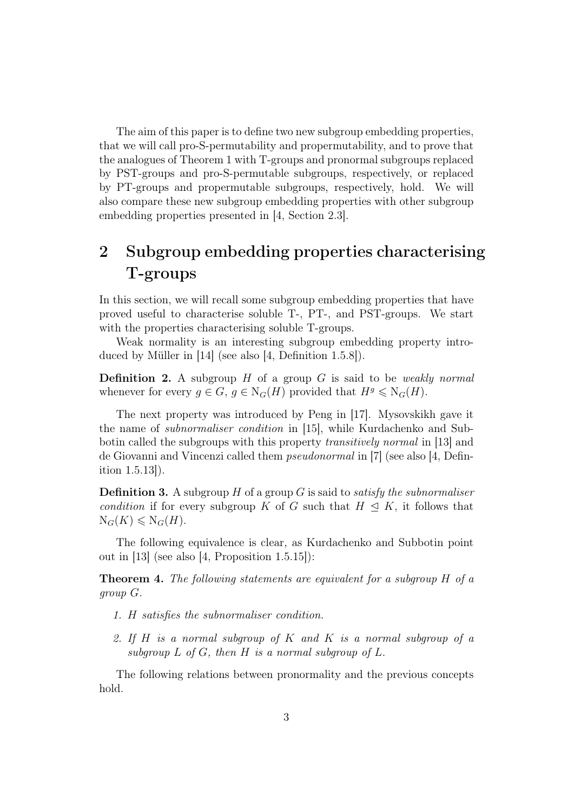The aim of this paper is to define two new subgroup embedding properties, that we will call pro-S-permutability and propermutability, and to prove that the analogues of Theorem 1 with T-groups and pronormal subgroups replaced by PST-groups and pro-S-permutable subgroups, respectively, or replaced by PT-groups and propermutable subgroups, respectively, hold. We will also compare these new subgroup embedding properties with other subgroup embedding properties presented in [4, Section 2.3].

# 2 Subgroup embedding properties characterising T-groups

In this section, we will recall some subgroup embedding properties that have proved useful to characterise soluble T-, PT-, and PST-groups. We start with the properties characterising soluble T-groups.

Weak normality is an interesting subgroup embedding property introduced by Müller in  $|14|$  (see also  $|4$ , Definition 1.5.8).

**Definition 2.** A subgroup  $H$  of a group  $G$  is said to be *weakly normal* whenever for every  $g \in G$ ,  $g \in N_G(H)$  provided that  $H^g \le N_G(H)$ .

The next property was introduced by Peng in [17]. Mysovskikh gave it the name of subnormaliser condition in [15], while Kurdachenko and Subbotin called the subgroups with this property transitively normal in [13] and de Giovanni and Vincenzi called them pseudonormal in [7] (see also [4, Definition 1.5.13]).

**Definition 3.** A subgroup  $H$  of a group  $G$  is said to *satisfy the subnormaliser* condition if for every subgroup K of G such that  $H \subseteq K$ , it follows that  $\mathrm{N}_G(K) \leqslant \mathrm{N}_G(H).$ 

The following equivalence is clear, as Kurdachenko and Subbotin point out in [13] (see also [4, Proposition 1.5.15]):

Theorem 4. The following statements are equivalent for a subgroup H of a group G.

- 1. H satisfies the subnormaliser condition.
- 2. If H is a normal subgroup of K and K is a normal subgroup of a subgroup  $L$  of  $G$ , then  $H$  is a normal subgroup of  $L$ .

The following relations between pronormality and the previous concepts hold.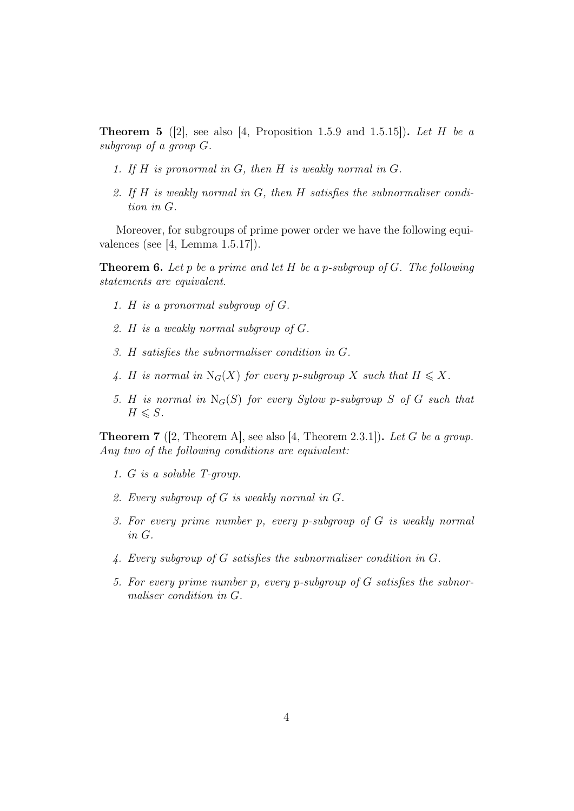**Theorem 5** ([2], see also [4, Proposition 1.5.9 and 1.5.15]). Let H be a subgroup of a group G.

- 1. If H is pronormal in G, then H is weakly normal in G.
- 2. If  $H$  is weakly normal in  $G$ , then  $H$  satisfies the subnormaliser condition in G.

Moreover, for subgroups of prime power order we have the following equivalences (see  $[4, \text{ Lemma } 1.5.17]$ ).

**Theorem 6.** Let p be a prime and let  $H$  be a p-subgroup of  $G$ . The following statements are equivalent.

- 1. H is a pronormal subgroup of G.
- 2. H is a weakly normal subgroup of G.
- 3. H satisfies the subnormaliser condition in G.
- 4. H is normal in  $N_G(X)$  for every p-subgroup X such that  $H \leq X$ .
- 5. H is normal in  $N_G(S)$  for every Sylow p-subgroup S of G such that  $H \leqslant S$ .

**Theorem 7** ([2, Theorem A], see also [4, Theorem 2.3.1]). Let G be a group. Any two of the following conditions are equivalent:

- 1. G is a soluble T-group.
- 2. Every subgroup of G is weakly normal in G.
- 3. For every prime number p, every p-subgroup of G is weakly normal in G.
- 4. Every subgroup of G satisfies the subnormaliser condition in G.
- 5. For every prime number p, every p-subgroup of G satisfies the subnormaliser condition in G.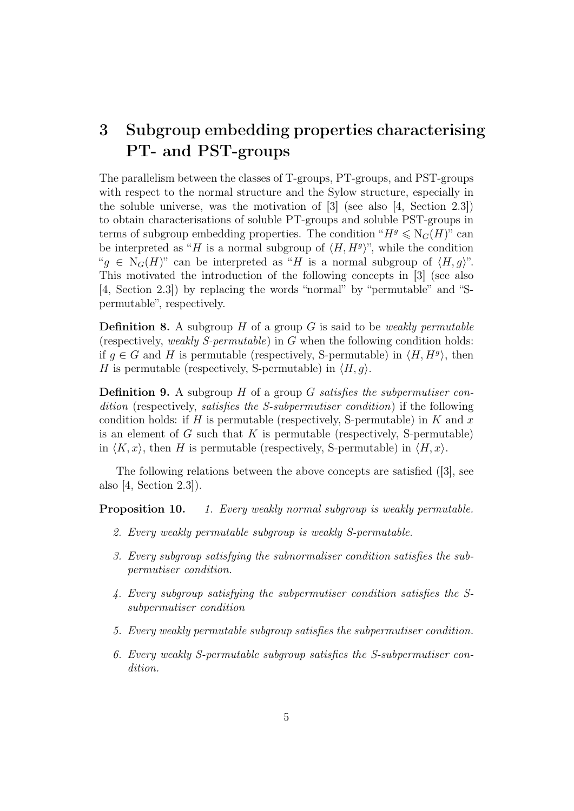## 3 Subgroup embedding properties characterising PT- and PST-groups

The parallelism between the classes of T-groups, PT-groups, and PST-groups with respect to the normal structure and the Sylow structure, especially in the soluble universe, was the motivation of [3] (see also [4, Section 2.3]) to obtain characterisations of soluble PT-groups and soluble PST-groups in terms of subgroup embedding properties. The condition " $H<sup>g</sup> \leq N<sub>G</sub>(H)$ " can be interpreted as "H is a normal subgroup of  $\langle H, H^g \rangle$ ", while the condition " $q \in N_G(H)$ " can be interpreted as "H is a normal subgroup of  $\langle H, q \rangle$ ". This motivated the introduction of the following concepts in [3] (see also [4, Section 2.3]) by replacing the words "normal" by "permutable" and "Spermutable", respectively.

**Definition 8.** A subgroup  $H$  of a group  $G$  is said to be *weakly permutable* (respectively, weakly S-permutable) in G when the following condition holds: if  $g \in G$  and H is permutable (respectively, S-permutable) in  $\langle H, H^g \rangle$ , then H is permutable (respectively, S-permutable) in  $\langle H, g \rangle$ .

**Definition 9.** A subgroup  $H$  of a group  $G$  satisfies the subpermutiser condition (respectively, satisfies the S-subpermutiser condition) if the following condition holds: if H is permutable (respectively, S-permutable) in K and  $x$ is an element of  $G$  such that  $K$  is permutable (respectively, S-permutable) in  $\langle K, x \rangle$ , then H is permutable (respectively, S-permutable) in  $\langle H, x \rangle$ .

The following relations between the above concepts are satisfied ([3], see also [4, Section 2.3]).

**Proposition 10.** 1. Every weakly normal subgroup is weakly permutable.

- 2. Every weakly permutable subgroup is weakly S-permutable.
- 3. Every subgroup satisfying the subnormaliser condition satisfies the subpermutiser condition.
- 4. Every subgroup satisfying the subpermutiser condition satisfies the Ssubpermutiser condition
- 5. Every weakly permutable subgroup satisfies the subpermutiser condition.
- 6. Every weakly S-permutable subgroup satisfies the S-subpermutiser condition.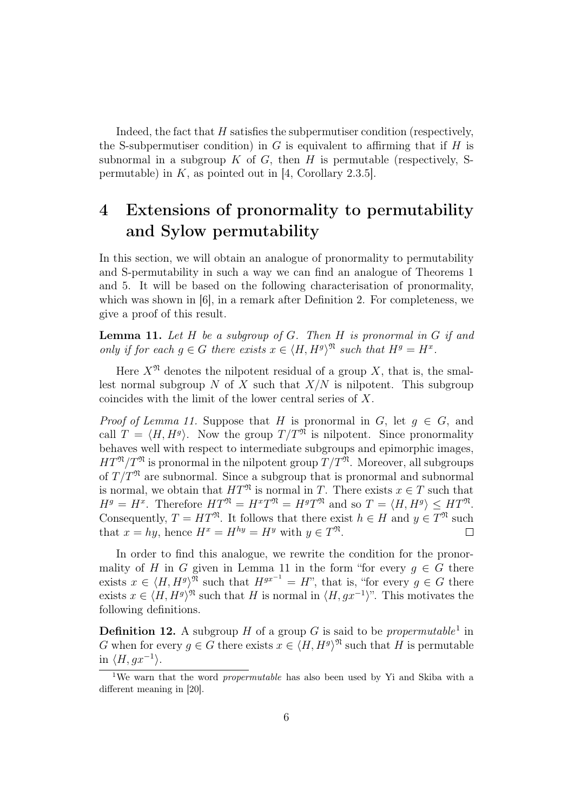Indeed, the fact that H satisfies the subpermutiser condition (respectively, the S-subpermutiser condition) in G is equivalent to affirming that if  $H$  is subnormal in a subgroup  $K$  of  $G$ , then  $H$  is permutable (respectively, Spermutable) in  $K$ , as pointed out in [4, Corollary 2.3.5].

# 4 Extensions of pronormality to permutability and Sylow permutability

In this section, we will obtain an analogue of pronormality to permutability and S-permutability in such a way we can find an analogue of Theorems 1 and 5. It will be based on the following characterisation of pronormality, which was shown in [6], in a remark after Definition 2. For completeness, we give a proof of this result.

**Lemma 11.** Let  $H$  be a subgroup of  $G$ . Then  $H$  is pronormal in  $G$  if and only if for each  $g \in G$  there exists  $x \in \langle H, H^g \rangle^{\mathfrak{N}}$  such that  $H^g = H^x$ .

Here  $X^{\mathfrak{N}}$  denotes the nilpotent residual of a group X, that is, the smallest normal subgroup N of X such that  $X/N$  is nilpotent. This subgroup coincides with the limit of the lower central series of X.

*Proof of Lemma 11.* Suppose that H is pronormal in G, let  $q \in G$ , and call  $T = \langle H, H^g \rangle$ . Now the group  $T/T^{\mathfrak{N}}$  is nilpotent. Since pronormality behaves well with respect to intermediate subgroups and epimorphic images,  $HT^{\mathfrak{N}}/T^{\mathfrak{N}}$  is pronormal in the nilpotent group  $T/T^{\mathfrak{N}}$ . Moreover, all subgroups of  $T/T$ <sup>n</sup> are subnormal. Since a subgroup that is pronormal and subnormal is normal, we obtain that  $HT^{\mathfrak{N}}$  is normal in T. There exists  $x \in T$  such that  $H^g = H^x$ . Therefore  $HT^{\mathfrak{N}} = H^xT^{\mathfrak{N}} = H^gT^{\mathfrak{N}}$  and so  $T = \langle H, H^g \rangle \leq HT^{\mathfrak{N}}$ . Consequently,  $T = HT^{\mathfrak{N}}$ . It follows that there exist  $h \in H$  and  $y \in T^{\mathfrak{N}}$  such that  $x = hy$ , hence  $H^x = H^{hy} = H^y$  with  $y \in T^{\mathfrak{N}}$ .

In order to find this analogue, we rewrite the condition for the pronormality of H in G given in Lemma 11 in the form "for every  $g \in G$  there exists  $x \in \langle H, H^g \rangle^{\mathfrak{N}}$  such that  $H^{gx^{-1}} = H$ ", that is, "for every  $g \in G$  there exists  $x \in \langle H, H^g \rangle^{\mathfrak{N}}$  such that H is normal in  $\langle H, gx^{-1} \rangle$ ". This motivates the following definitions.

**Definition 12.** A subgroup H of a group G is said to be *propermutable*<sup>1</sup> in G when for every  $g \in G$  there exists  $x \in \langle H, H^g \rangle^{\mathfrak{N}}$  such that H is permutable in  $\langle H, gx^{-1} \rangle$ .

<sup>&</sup>lt;sup>1</sup>We warn that the word *propermutable* has also been used by Yi and Skiba with a different meaning in [20].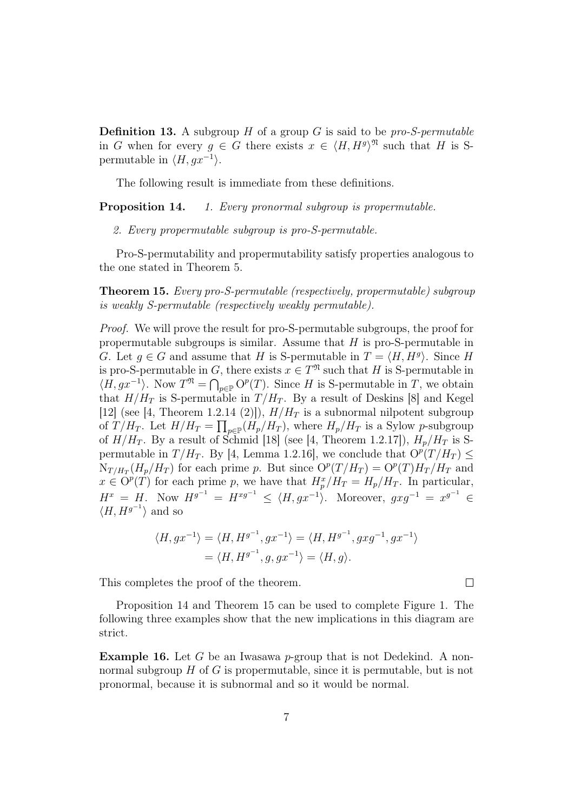**Definition 13.** A subgroup H of a group G is said to be pro-S-permutable in G when for every  $g \in G$  there exists  $x \in \langle H, H^g \rangle^{\mathfrak{N}}$  such that H is Spermutable in  $\langle H, gx^{-1} \rangle$ .

The following result is immediate from these definitions.

**Proposition 14.** 1. Every pronormal subgroup is propermutable.

2. Every propermutable subgroup is pro-S-permutable.

Pro-S-permutability and propermutability satisfy properties analogous to the one stated in Theorem 5.

Theorem 15. Every pro-S-permutable (respectively, propermutable) subgroup is weakly S-permutable (respectively weakly permutable).

Proof. We will prove the result for pro-S-permutable subgroups, the proof for propermutable subgroups is similar. Assume that  $H$  is pro-S-permutable in G. Let  $g \in G$  and assume that H is S-permutable in  $T = \langle H, H^g \rangle$ . Since H is pro-S-permutable in G, there exists  $x \in T^{\mathfrak{N}}$  such that H is S-permutable in  $\langle H, gx^{-1} \rangle$ . Now  $T^{\mathfrak{N}} = \bigcap_{p \in \mathbb{P}} O^p(T)$ . Since H is S-permutable in T, we obtain that  $H/H_T$  is S-permutable in  $T/H_T$ . By a result of Deskins [8] and Kegel [12] (see [4, Theorem 1.2.14 (2)]),  $H/H_T$  is a subnormal nilpotent subgroup of  $T/H_T$ . Let  $H/H_T = \prod_{p \in \mathbb{P}} (H_p/H_T)$ , where  $H_p/H_T$  is a Sylow p-subgroup of  $H/H_T$ . By a result of Schmid [18] (see [4, Theorem 1.2.17]),  $H_p/H_T$  is Spermutable in  $T/H_T$ . By [4, Lemma 1.2.16], we conclude that  $O^p(T/H_T) \leq$  $N_{T/H_T}(H_p/H_T)$  for each prime p. But since  $O^p(T/H_T) = O^p(T)H_T/H_T$  and  $x \in O^p(T)$  for each prime p, we have that  $H_p^x/H_T = H_p/H_T$ . In particular,  $H^x = H$ . Now  $H^{g^{-1}} = H^{xg^{-1}} \le \langle H, gx^{-1} \rangle$ . Moreover,  $gxg^{-1} = x^{g^{-1}} \in$  $\langle H, H^{g^{-1}} \rangle$  and so

$$
\langle H, gx^{-1} \rangle = \langle H, H^{g^{-1}}, gx^{-1} \rangle = \langle H, H^{g^{-1}}, gxg^{-1}, gx^{-1} \rangle
$$
  
= 
$$
\langle H, H^{g^{-1}}, g, gx^{-1} \rangle = \langle H, g \rangle.
$$

This completes the proof of the theorem.

Proposition 14 and Theorem 15 can be used to complete Figure 1. The following three examples show that the new implications in this diagram are strict.

**Example 16.** Let G be an Iwasawa p-group that is not Dedekind. A nonnormal subgroup  $H$  of G is propermutable, since it is permutable, but is not pronormal, because it is subnormal and so it would be normal.

 $\Box$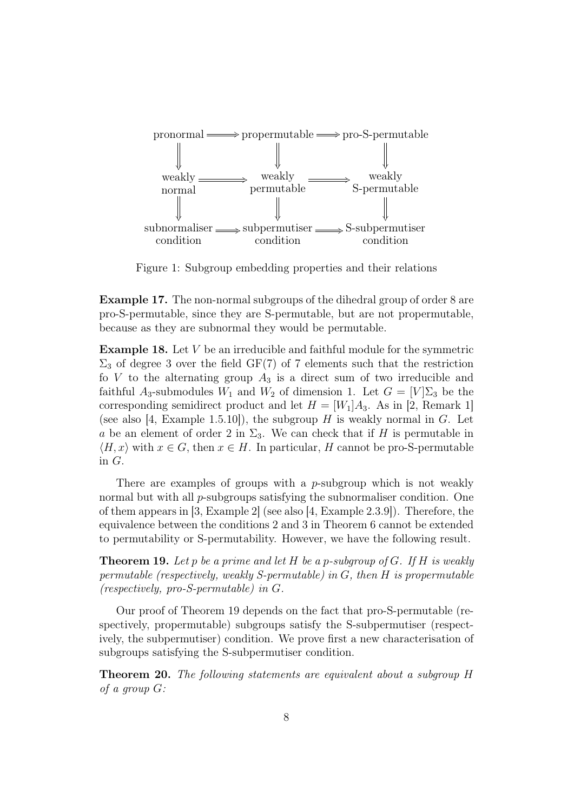

Figure 1: Subgroup embedding properties and their relations

Example 17. The non-normal subgroups of the dihedral group of order 8 are pro-S-permutable, since they are S-permutable, but are not propermutable, because as they are subnormal they would be permutable.

Example 18. Let V be an irreducible and faithful module for the symmetric  $\Sigma_3$  of degree 3 over the field GF(7) of 7 elements such that the restriction fo  $V$  to the alternating group  $A_3$  is a direct sum of two irreducible and faithful A<sub>3</sub>-submodules  $W_1$  and  $W_2$  of dimension 1. Let  $G = [V] \Sigma_3$  be the corresponding semidirect product and let  $H = [W_1]A_3$ . As in [2, Remark 1] (see also [4, Example 1.5.10]), the subgroup H is weakly normal in G. Let a be an element of order 2 in  $\Sigma_3$ . We can check that if H is permutable in  $\langle H, x \rangle$  with  $x \in G$ , then  $x \in H$ . In particular, H cannot be pro-S-permutable in G.

There are examples of groups with a *p*-subgroup which is not weakly normal but with all  $p$ -subgroups satisfying the subnormaliser condition. One of them appears in [3, Example 2] (see also [4, Example 2.3.9]). Therefore, the equivalence between the conditions 2 and 3 in Theorem 6 cannot be extended to permutability or S-permutability. However, we have the following result.

**Theorem 19.** Let p be a prime and let H be a p-subgroup of G. If H is weakly permutable (respectively, weakly S-permutable) in G, then H is propermutable (respectively, pro-S-permutable) in G.

Our proof of Theorem 19 depends on the fact that pro-S-permutable (respectively, propermutable) subgroups satisfy the S-subpermutiser (respectively, the subpermutiser) condition. We prove first a new characterisation of subgroups satisfying the S-subpermutiser condition.

Theorem 20. The following statements are equivalent about a subgroup H of a group G: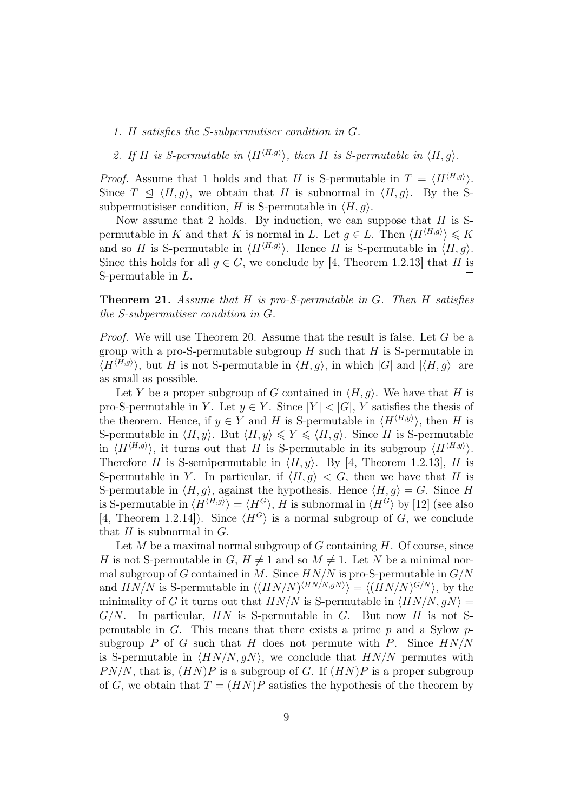- 1. H satisfies the S-subpermutiser condition in G.
- 2. If H is S-permutable in  $\langle H^{\langle H,g \rangle} \rangle$ , then H is S-permutable in  $\langle H, g \rangle$ .

*Proof.* Assume that 1 holds and that H is S-permutable in  $T = \langle H^{(H,g)} \rangle$ . Since  $T \le \langle H, g \rangle$ , we obtain that H is subnormal in  $\langle H, g \rangle$ . By the Ssubpermutisiser condition, H is S-permutable in  $\langle H, q \rangle$ .

Now assume that 2 holds. By induction, we can suppose that  $H$  is Spermutable in K and that K is normal in L. Let  $g \in L$ . Then  $\langle H^{\langle H,g \rangle} \rangle \le K$ and so H is S-permutable in  $\langle H^{\langle H,g \rangle} \rangle$ . Hence H is S-permutable in  $\langle H, g \rangle$ . Since this holds for all  $q \in G$ , we conclude by [4, Theorem 1.2.13] that H is S-permutable in L.  $\Box$ 

**Theorem 21.** Assume that  $H$  is pro-S-permutable in  $G$ . Then  $H$  satisfies the S-subpermutiser condition in G.

Proof. We will use Theorem 20. Assume that the result is false. Let G be a group with a pro-S-permutable subgroup  $H$  such that  $H$  is S-permutable in  $\langle H^{\langle H,g \rangle} \rangle$ , but H is not S-permutable in  $\langle H, g \rangle$ , in which  $|G|$  and  $|\langle H, g \rangle|$  are as small as possible.

Let Y be a proper subgroup of G contained in  $\langle H, g \rangle$ . We have that H is pro-S-permutable in Y. Let  $y \in Y$ . Since  $|Y| < |G|$ , Y satisfies the thesis of the theorem. Hence, if  $y \in Y$  and H is S-permutable in  $\langle H^{\langle H,y \rangle} \rangle$ , then H is S-permutable in  $\langle H, y \rangle$ . But  $\langle H, y \rangle \leq Y \leq \langle H, g \rangle$ . Since H is S-permutable in  $\langle H^{\langle H,g \rangle} \rangle$ , it turns out that H is S-permutable in its subgroup  $\langle H^{\langle H,g \rangle} \rangle$ . Therefore H is S-semipermutable in  $\langle H, y \rangle$ . By [4, Theorem 1.2.13], H is S-permutable in Y. In particular, if  $\langle H, g \rangle < G$ , then we have that H is S-permutable in  $\langle H, q \rangle$ , against the hypothesis. Hence  $\langle H, q \rangle = G$ . Since H is S-permutable in  $\langle H^{\langle H,g \rangle} \rangle = \langle H^G \rangle$ , H is subnormal in  $\langle H^G \rangle$  by [12] (see also [4, Theorem 1.2.14]). Since  $\langle H^G \rangle$  is a normal subgroup of G, we conclude that  $H$  is subnormal in  $G$ .

Let  $M$  be a maximal normal subgroup of  $G$  containing  $H$ . Of course, since H is not S-permutable in  $G, H \neq 1$  and so  $M \neq 1$ . Let N be a minimal normal subgroup of G contained in M. Since  $H N/N$  is pro-S-permutable in  $G/N$ and  $HN/N$  is S-permutable in  $\langle (HN/N)^{\langle HN/N, gN \rangle} \rangle = \langle (HN/N)^{G/N} \rangle$ , by the minimality of G it turns out that  $HN/N$  is S-permutable in  $\langle HN/N, qN \rangle =$  $G/N$ . In particular, HN is S-permutable in G. But now H is not Spemutable in G. This means that there exists a prime  $p$  and a Sylow  $p$ subgroup P of G such that H does not permute with P. Since  $HN/N$ is S-permutable in  $\langle HN/N, gN \rangle$ , we conclude that  $HN/N$  permutes with  $PN/N$ , that is,  $(HN)P$  is a subgroup of G. If  $(HN)P$  is a proper subgroup of G, we obtain that  $T = (HN)P$  satisfies the hypothesis of the theorem by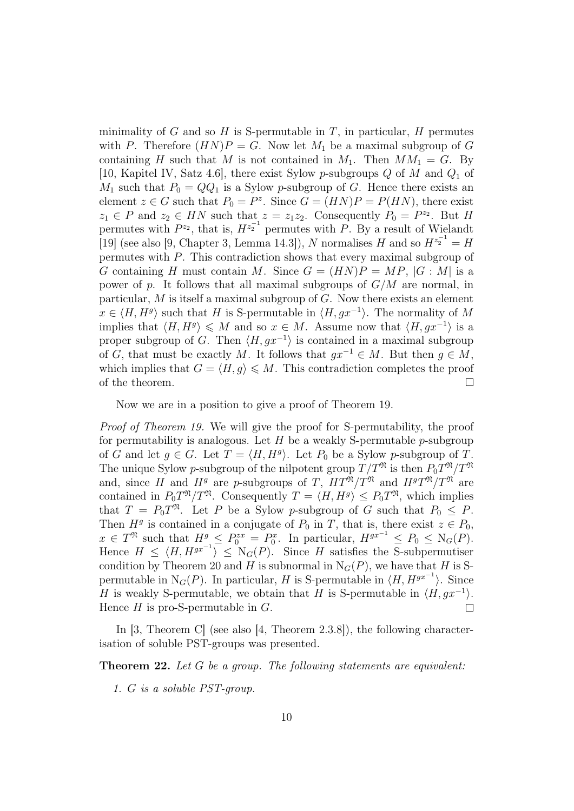minimality of G and so H is S-permutable in T, in particular, H permutes with P. Therefore  $(HN)P = G$ . Now let  $M_1$  be a maximal subgroup of G containing H such that M is not contained in  $M_1$ . Then  $MM_1 = G$ . By [10, Kapitel IV, Satz 4.6], there exist Sylow p-subgroups  $Q$  of M and  $Q_1$  of  $M_1$  such that  $P_0 = QQ_1$  is a Sylow p-subgroup of G. Hence there exists an element  $z \in G$  such that  $P_0 = P^z$ . Since  $G = (HN)P = P(HN)$ , there exist  $z_1 \in P$  and  $z_2 \in HN$  such that  $z = z_1 z_2$ . Consequently  $P_0 = P^{z_2}$ . But H permutes with  $P^{z_2}$ , that is,  $H^{z_2^{-1}}$  permutes with P. By a result of Wielandt [19] (see also [9, Chapter 3, Lemma 14.3]), N normalises H and so  $H^{z_2^{-1}} = H$ permutes with P. This contradiction shows that every maximal subgroup of G containing H must contain M. Since  $G = (HN)P = MP$ ,  $|G : M|$  is a power of p. It follows that all maximal subgroups of  $G/M$  are normal, in particular,  $M$  is itself a maximal subgroup of  $G$ . Now there exists an element  $x \in \langle H, H^g \rangle$  such that H is S-permutable in  $\langle H, gx^{-1} \rangle$ . The normality of M implies that  $\langle H, H^g \rangle \leq M$  and so  $x \in M$ . Assume now that  $\langle H, gx^{-1} \rangle$  is a proper subgroup of G. Then  $\langle H, gx^{-1} \rangle$  is contained in a maximal subgroup of G, that must be exactly M. It follows that  $qx^{-1} \in M$ . But then  $q \in M$ , which implies that  $G = \langle H, g \rangle \leq M$ . This contradiction completes the proof of the theorem.  $\Box$ 

Now we are in a position to give a proof of Theorem 19.

Proof of Theorem 19. We will give the proof for S-permutability, the proof for permutability is analogous. Let  $H$  be a weakly S-permutable  $p$ -subgroup of G and let  $g \in G$ . Let  $T = \langle H, H^g \rangle$ . Let  $P_0$  be a Sylow p-subgroup of T. The unique Sylow *p*-subgroup of the nilpotent group  $T/T^{\mathfrak{N}}$  is then  $P_0T^{\mathfrak{N}}/T^{\mathfrak{N}}$ and, since H and  $H^g$  are p-subgroups of T,  $HT^{\mathfrak{N}}/T^{\mathfrak{N}}$  and  $H^gT^{\mathfrak{N}}/T^{\mathfrak{N}}$  are contained in  $P_0T^{\mathfrak{N}}/T^{\mathfrak{N}}$ . Consequently  $T = \langle H, H^g \rangle \leq P_0T^{\mathfrak{N}}$ , which implies that  $T = P_0 T^{\mathfrak{N}}$ . Let P be a Sylow p-subgroup of G such that  $P_0 \leq P$ . Then  $H<sup>g</sup>$  is contained in a conjugate of  $P_0$  in T, that is, there exist  $z \in P_0$ ,  $x \in T^{\mathfrak{N}}$  such that  $H^g \le P_0^{zx} = P_0^x$ . In particular,  $H^{gx^{-1}} \le P_0 \le \mathcal{N}_G(P)$ . Hence  $H \le \langle H, H^{gx^{-1}} \rangle \le N_G(P)$ . Since H satisfies the S-subpermutiser condition by Theorem 20 and H is subnormal in  $N_G(P)$ , we have that H is Spermutable in  $N_G(P)$ . In particular, H is S-permutable in  $\langle H, H^{gx^{-1}} \rangle$ . Since H is weakly S-permutable, we obtain that H is S-permutable in  $\langle H, gx^{-1} \rangle$ . Hence  $H$  is pro-S-permutable in  $G$ .  $\Box$ 

In [3, Theorem C] (see also [4, Theorem 2.3.8]), the following characterisation of soluble PST-groups was presented.

Theorem 22. Let G be a group. The following statements are equivalent:

1. G is a soluble PST-group.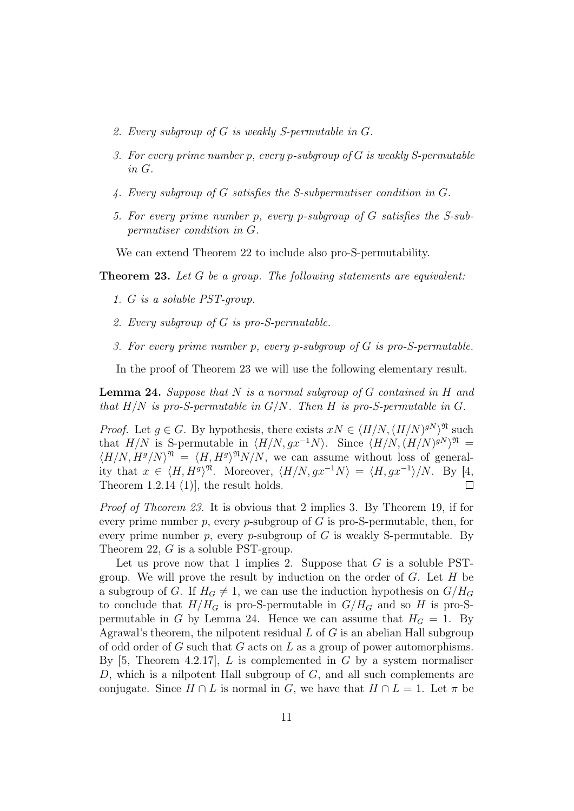- 2. Every subgroup of G is weakly S-permutable in G.
- 3. For every prime number p, every p-subgroup of G is weakly S-permutable in G.
- 4. Every subgroup of G satisfies the S-subpermutiser condition in G.
- 5. For every prime number p, every p-subgroup of G satisfies the S-subpermutiser condition in G.

We can extend Theorem 22 to include also pro-S-permutability.

Theorem 23. Let G be a group. The following statements are equivalent:

- 1. G is a soluble PST-group.
- 2. Every subgroup of G is pro-S-permutable.
- 3. For every prime number p, every p-subgroup of G is pro-S-permutable.

In the proof of Theorem 23 we will use the following elementary result.

**Lemma 24.** Suppose that  $N$  is a normal subgroup of  $G$  contained in  $H$  and that  $H/N$  is pro-S-permutable in  $G/N$ . Then H is pro-S-permutable in G.

*Proof.* Let  $g \in G$ . By hypothesis, there exists  $xN \in \langle H/N, (H/N)^{gN} \rangle^{\mathfrak{N}}$  such that  $H/N$  is S-permutable in  $\langle H/N, gx^{-1}N \rangle$ . Since  $\langle H/N, (H/N)^{gN} \rangle^{\mathfrak{N}} =$  $\langle H/N, H^g/N \rangle^{\mathfrak{N}} = \langle H, H^g \rangle^{\mathfrak{N}} N/N$ , we can assume without loss of generality that  $x \in \langle H, H^g \rangle^{\mathfrak{N}}$ . Moreover,  $\langle H/N, gx^{-1}N \rangle = \langle H, gx^{-1} \rangle/N$ . By [4, Theorem 1.2.14 (1)], the result holds.  $\Box$ 

Proof of Theorem 23. It is obvious that 2 implies 3. By Theorem 19, if for every prime number p, every p-subgroup of  $G$  is pro-S-permutable, then, for every prime number p, every p-subgroup of  $G$  is weakly S-permutable. By Theorem 22, G is a soluble PST-group.

Let us prove now that 1 implies 2. Suppose that  $G$  is a soluble PSTgroup. We will prove the result by induction on the order of  $G$ . Let  $H$  be a subgroup of G. If  $H_G \neq 1$ , we can use the induction hypothesis on  $G/H_G$ to conclude that  $H/H_G$  is pro-S-permutable in  $G/H_G$  and so H is pro-Spermutable in G by Lemma 24. Hence we can assume that  $H_G = 1$ . By Agrawal's theorem, the nilpotent residual  $L$  of  $G$  is an abelian Hall subgroup of odd order of  $G$  such that  $G$  acts on  $L$  as a group of power automorphisms. By  $[5,$  Theorem 4.2.17, L is complemented in G by a system normaliser D, which is a nilpotent Hall subgroup of  $G$ , and all such complements are conjugate. Since  $H \cap L$  is normal in G, we have that  $H \cap L = 1$ . Let  $\pi$  be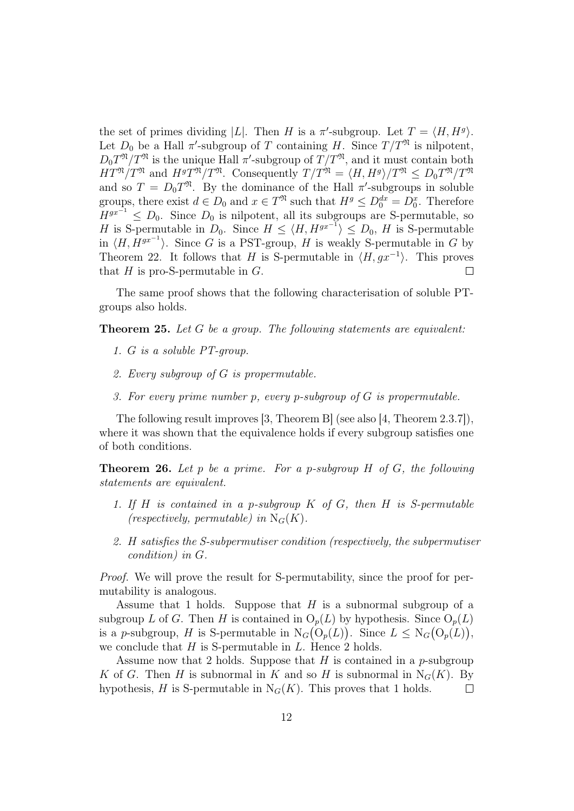the set of primes dividing |L|. Then H is a  $\pi'$ -subgroup. Let  $T = \langle H, H^g \rangle$ . Let  $D_0$  be a Hall  $\pi'$ -subgroup of T containing H. Since  $T/T^{\mathfrak{N}}$  is nilpotent,  $D_0 T^{\mathfrak{N}} / T^{\mathfrak{N}}$  is the unique Hall  $\pi'$ -subgroup of  $T/T^{\mathfrak{N}}$ , and it must contain both  $HT^{\mathfrak{N}}/T^{\mathfrak{N}}$  and  $H^gT^{\mathfrak{N}}/T^{\mathfrak{N}}$ . Consequently  $T/T^{\mathfrak{N}} = \langle H, H^g \rangle /T^{\mathfrak{N}} \leq D_0T^{\mathfrak{N}}/T^{\mathfrak{N}}$ and so  $T = D_0 T^{\mathfrak{N}}$ . By the dominance of the Hall  $\pi'$ -subgroups in soluble groups, there exist  $d \in D_0$  and  $x \in T^{\mathfrak{N}}$  such that  $H^g \leq D_0^{dx} = D_0^x$ . Therefore  $H^{gx^{-1}} \leq D_0$ . Since  $D_0$  is nilpotent, all its subgroups are S-permutable, so H is S-permutable in  $D_0$ . Since  $H \le \langle H, H^{gx^{-1}} \rangle \le D_0$ , H is S-permutable in  $\langle H, H^{gx^{-1}} \rangle$ . Since G is a PST-group, H is weakly S-permutable in G by Theorem 22. It follows that H is S-permutable in  $\langle H, gx^{-1} \rangle$ . This proves that  $H$  is pro-S-permutable in  $G$ . П

The same proof shows that the following characterisation of soluble PTgroups also holds.

Theorem 25. Let G be a group. The following statements are equivalent:

- 1. G is a soluble PT-group.
- 2. Every subgroup of G is propermutable.
- 3. For every prime number p, every p-subgroup of G is propermutable.

The following result improves [3, Theorem B] (see also [4, Theorem 2.3.7]), where it was shown that the equivalence holds if every subgroup satisfies one of both conditions.

**Theorem 26.** Let p be a prime. For a p-subgroup  $H$  of  $G$ , the following statements are equivalent.

- 1. If H is contained in a p-subgroup  $K$  of  $G$ , then H is S-permutable (respectively, permutable) in  $N_G(K)$ .
- 2. H satisfies the S-subpermutiser condition (respectively, the subpermutiser condition) in G.

Proof. We will prove the result for S-permutability, since the proof for permutability is analogous.

Assume that 1 holds. Suppose that  $H$  is a subnormal subgroup of a subgroup L of G. Then H is contained in  $O_p(L)$  by hypothesis. Since  $O_p(L)$ is a p-subgroup, H is S-permutable in  $N_G(O_p(L))$ . Since  $L \leq N_G(O_p(L))$ , we conclude that  $H$  is S-permutable in  $L$ . Hence 2 holds.

Assume now that 2 holds. Suppose that  $H$  is contained in a p-subgroup K of G. Then H is subnormal in K and so H is subnormal in  $N_G(K)$ . By hypothesis, H is S-permutable in  $N_G(K)$ . This proves that 1 holds.  $\Box$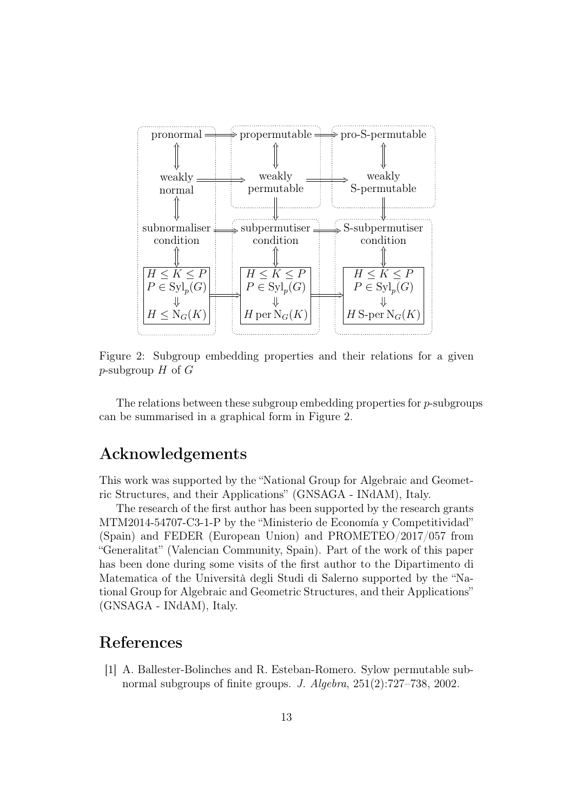

Figure 2: Subgroup embedding properties and their relations for a given p-subgroup  $H$  of  $G$ 

The relations between these subgroup embedding properties for  $p$ -subgroups can be summarised in a graphical form in Figure 2.

#### Acknowledgements

This work was supported by the "National Group for Algebraic and Geometric Structures, and their Applications" (GNSAGA - INdAM), Italy.

The research of the first author has been supported by the research grants MTM2014-54707-C3-1-P by the "Ministerio de Economía y Competitividad" (Spain) and FEDER (European Union) and PROMETEO/2017/057 from "Generalitat" (Valencian Community, Spain). Part of the work of this paper has been done during some visits of the first author to the Dipartimento di Matematica of the Università degli Studi di Salerno supported by the "National Group for Algebraic and Geometric Structures, and their Applications" (GNSAGA - INdAM), Italy.

#### References

[1] A. Ballester-Bolinches and R. Esteban-Romero. Sylow permutable subnormal subgroups of finite groups. J. Algebra, 251(2):727–738, 2002.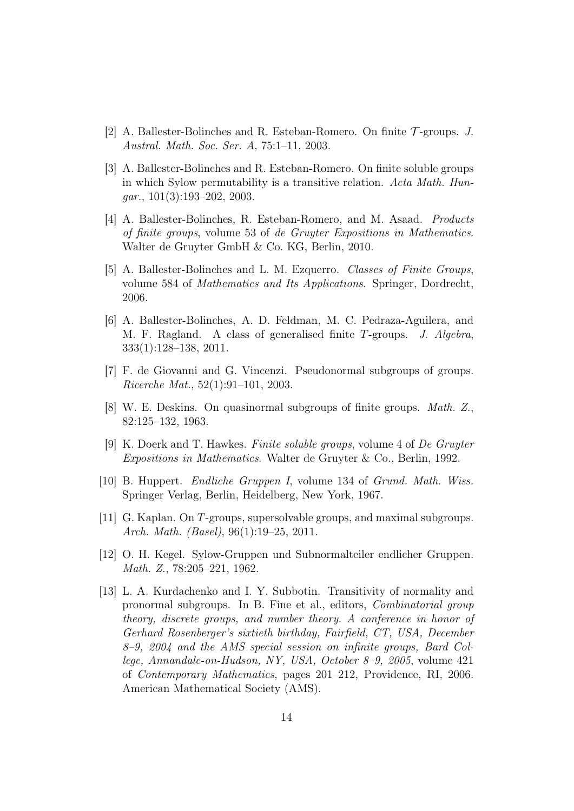- [2] A. Ballester-Bolinches and R. Esteban-Romero. On finite T -groups. J. Austral. Math. Soc. Ser. A, 75:1–11, 2003.
- [3] A. Ballester-Bolinches and R. Esteban-Romero. On finite soluble groups in which Sylow permutability is a transitive relation. Acta Math. Hun $gar., 101(3):193-202, 2003.$
- [4] A. Ballester-Bolinches, R. Esteban-Romero, and M. Asaad. Products of finite groups, volume 53 of de Gruyter Expositions in Mathematics. Walter de Gruyter GmbH & Co. KG, Berlin, 2010.
- [5] A. Ballester-Bolinches and L. M. Ezquerro. Classes of Finite Groups, volume 584 of Mathematics and Its Applications. Springer, Dordrecht, 2006.
- [6] A. Ballester-Bolinches, A. D. Feldman, M. C. Pedraza-Aguilera, and M. F. Ragland. A class of generalised finite T-groups. J. Algebra, 333(1):128–138, 2011.
- [7] F. de Giovanni and G. Vincenzi. Pseudonormal subgroups of groups. Ricerche Mat., 52(1):91–101, 2003.
- [8] W. E. Deskins. On quasinormal subgroups of finite groups. Math. Z., 82:125–132, 1963.
- [9] K. Doerk and T. Hawkes. Finite soluble groups, volume 4 of De Gruyter Expositions in Mathematics. Walter de Gruyter & Co., Berlin, 1992.
- [10] B. Huppert. Endliche Gruppen I, volume 134 of Grund. Math. Wiss. Springer Verlag, Berlin, Heidelberg, New York, 1967.
- [11] G. Kaplan. On T-groups, supersolvable groups, and maximal subgroups. Arch. Math. (Basel), 96(1):19–25, 2011.
- [12] O. H. Kegel. Sylow-Gruppen und Subnormalteiler endlicher Gruppen. Math. Z., 78:205–221, 1962.
- [13] L. A. Kurdachenko and I. Y. Subbotin. Transitivity of normality and pronormal subgroups. In B. Fine et al., editors, Combinatorial group theory, discrete groups, and number theory. A conference in honor of Gerhard Rosenberger's sixtieth birthday, Fairfield, CT, USA, December 8–9, 2004 and the AMS special session on infinite groups, Bard College, Annandale-on-Hudson, NY, USA, October 8–9, 2005, volume 421 of Contemporary Mathematics, pages 201–212, Providence, RI, 2006. American Mathematical Society (AMS).